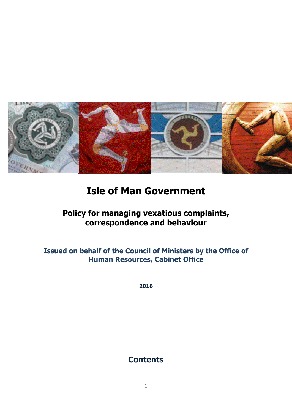

# **Isle of Man Government**

# **Policy for managing vexatious complaints, correspondence and behaviour**

**Issued on behalf of the Council of Ministers by the Office of Human Resources, Cabinet Office**

**2016**

# **Contents**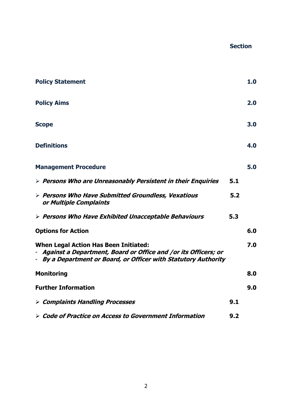#### **Section**

| <b>Policy Statement</b>                                                                                                                                                             |     | 1.0 |
|-------------------------------------------------------------------------------------------------------------------------------------------------------------------------------------|-----|-----|
| <b>Policy Aims</b>                                                                                                                                                                  |     | 2.0 |
| <b>Scope</b>                                                                                                                                                                        |     | 3.0 |
| <b>Definitions</b>                                                                                                                                                                  |     | 4.0 |
| <b>Management Procedure</b>                                                                                                                                                         |     | 5.0 |
| $\triangleright$ Persons Who are Unreasonably Persistent in their Enquiries                                                                                                         | 5.1 |     |
| > Persons Who Have Submitted Groundless, Vexatious<br>or Multiple Complaints                                                                                                        | 5.2 |     |
| $\triangleright$ Persons Who Have Exhibited Unacceptable Behaviours                                                                                                                 | 5.3 |     |
| <b>Options for Action</b>                                                                                                                                                           |     | 6.0 |
| <b>When Legal Action Has Been Initiated:</b><br>- Against a Department, Board or Office and /or its Officers; or<br>- By a Department or Board, or Officer with Statutory Authority |     | 7.0 |
| <b>Monitoring</b>                                                                                                                                                                   |     | 8.0 |
| <b>Further Information</b>                                                                                                                                                          |     | 9.0 |
| $\triangleright$ Complaints Handling Processes                                                                                                                                      | 9.1 |     |
| $\triangleright$ Code of Practice on Access to Government Information                                                                                                               | 9.2 |     |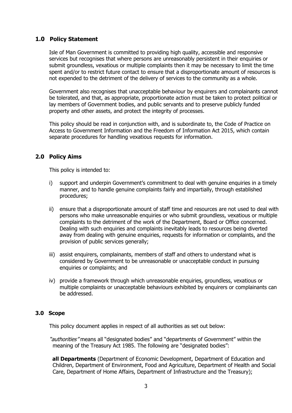### **1.0 Policy Statement**

Isle of Man Government is committed to providing high quality, accessible and responsive services but recognises that where persons are unreasonably persistent in their enquiries or submit groundless, vexatious or multiple complaints then it may be necessary to limit the time spent and/or to restrict future contact to ensure that a disproportionate amount of resources is not expended to the detriment of the delivery of services to the community as a whole.

Government also recognises that unacceptable behaviour by enquirers and complainants cannot be tolerated, and that, as appropriate, proportionate action must be taken to protect political or lay members of Government bodies, and public servants and to preserve publicly funded property and other assets, and protect the integrity of processes.

This policy should be read in conjunction with, and is subordinate to, the Code of Practice on Access to Government Information and the Freedom of Information Act 2015, which contain separate procedures for handling vexatious requests for information.

#### **2.0 Policy Aims**

This policy is intended to:

- i) support and underpin Government's commitment to deal with genuine enquiries in a timely manner, and to handle genuine complaints fairly and impartially, through established procedures;
- ii) ensure that a disproportionate amount of staff time and resources are not used to deal with persons who make unreasonable enquiries or who submit groundless, vexatious or multiple complaints to the detriment of the work of the Department, Board or Office concerned. Dealing with such enquiries and complaints inevitably leads to resources being diverted away from dealing with genuine enquiries, requests for information or complaints, and the provision of public services generally;
- iii) assist enquirers, complainants, members of staff and others to understand what is considered by Government to be unreasonable or unacceptable conduct in pursuing enquiries or complaints; and
- iv) provide a framework through which unreasonable enquiries, groundless, vexatious or multiple complaints or unacceptable behaviours exhibited by enquirers or complainants can be addressed.

#### **3.0 Scope**

This policy document applies in respect of all authorities as set out below:

"authorities" means all "designated bodies" and "departments of Government" within the meaning of the Treasury Act 1985. The following are "designated bodies":

**all Departments** (Department of Economic Development, Department of Education and Children, Department of Environment, Food and Agriculture, Department of Health and Social Care, Department of Home Affairs, Department of Infrastructure and the Treasury);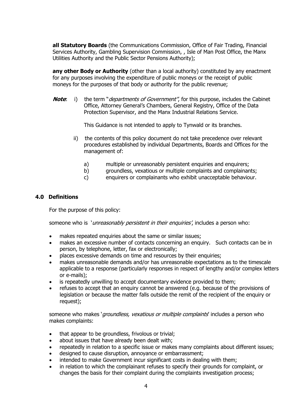**all Statutory Boards** (the Communications Commission, Office of Fair Trading, Financial Services Authority, Gambling Supervision Commission, , Isle of Man Post Office, the Manx Utilities Authority and the Public Sector Pensions Authority);

**any other Body or Authority** (other than a local authority) constituted by any enactment for any purposes involving the expenditure of public moneys or the receipt of public moneys for the purposes of that body or authority for the public revenue;

**Note**: i) the term "*departments of Government"*, for this purpose, includes the Cabinet Office, Attorney General's Chambers, General Registry, Office of the Data Protection Supervisor, and the Manx Industrial Relations Service.

This Guidance is not intended to apply to Tynwald or its branches.

- ii) the contents of this policy document do not take precedence over relevant procedures established by individual Departments, Boards and Offices for the management of:
	- a) multiple or unreasonably persistent enquiries and enquirers;
	- b) groundless, vexatious or multiple complaints and complainants;
	- c) enquirers or complainants who exhibit unacceptable behaviour.

#### **4.0 Definitions**

For the purpose of this policy:

someone who is *'unreasonably persistent in their enquiries'*, includes a person who:

- makes repeated enquiries about the same or similar issues;
- makes an excessive number of contacts concerning an enquiry. Such contacts can be in person, by telephone, letter, fax or electronically;
- places excessive demands on time and resources by their enquiries;
- makes unreasonable demands and/or has unreasonable expectations as to the timescale applicable to a response (particularly responses in respect of lengthy and/or complex letters or e-mails);
- is repeatedly unwilling to accept documentary evidence provided to them;
- refuses to accept that an enquiry cannot be answered (e.g. because of the provisions of legislation or because the matter falls outside the remit of the recipient of the enquiry or request);

someone who makes '*groundless, vexatious or multiple complaints'* includes a person who makes complaints:

- that appear to be groundless, frivolous or trivial;
- about issues that have already been dealt with;
- repeatedly in relation to a specific issue or makes many complaints about different issues;
- designed to cause disruption, annoyance or embarrassment;
- intended to make Government incur significant costs in dealing with them;
- in relation to which the complainant refuses to specify their grounds for complaint, or changes the basis for their complaint during the complaints investigation process;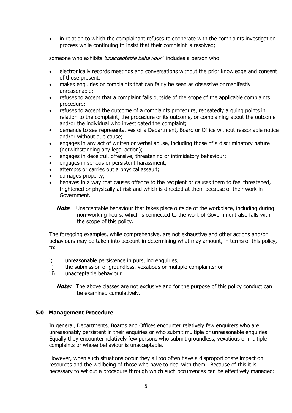in relation to which the complainant refuses to cooperate with the complaints investigation process while continuing to insist that their complaint is resolved;

someone who exhibits '*unacceptable behaviour'* includes a person who:

- electronically records meetings and conversations without the prior knowledge and consent of those present;
- makes enquiries or complaints that can fairly be seen as obsessive or manifestly unreasonable;
- refuses to accept that a complaint falls outside of the scope of the applicable complaints procedure;
- refuses to accept the outcome of a complaints procedure, repeatedly arguing points in relation to the complaint, the procedure or its outcome, or complaining about the outcome and/or the individual who investigated the complaint;
- demands to see representatives of a Department, Board or Office without reasonable notice and/or without due cause;
- engages in any act of written or verbal abuse, including those of a discriminatory nature (notwithstanding any legal action);
- engages in deceitful, offensive, threatening or intimidatory behaviour;
- engages in serious or persistent harassment;
- attempts or carries out a physical assault;
- damages property;
- behaves in a way that causes offence to the recipient or causes them to feel threatened, frightened or physically at risk and which is directed at them because of their work in Government.
	- **Note:** Unacceptable behaviour that takes place outside of the workplace, including during non-working hours, which is connected to the work of Government also falls within the scope of this policy.

The foregoing examples, while comprehensive, are not exhaustive and other actions and/or behaviours may be taken into account in determining what may amount, in terms of this policy, to:

- i) unreasonable persistence in pursuing enquiries;
- ii) the submission of groundless, vexatious or multiple complaints; or
- iii) unacceptable behaviour.
	- **Note:** The above classes are not exclusive and for the purpose of this policy conduct can be examined cumulatively.

#### **5.0 Management Procedure**

In general, Departments, Boards and Offices encounter relatively few enquirers who are unreasonably persistent in their enquiries or who submit multiple or unreasonable enquiries. Equally they encounter relatively few persons who submit groundless, vexatious or multiple complaints or whose behaviour is unacceptable.

However, when such situations occur they all too often have a disproportionate impact on resources and the wellbeing of those who have to deal with them. Because of this it is necessary to set out a procedure through which such occurrences can be effectively managed: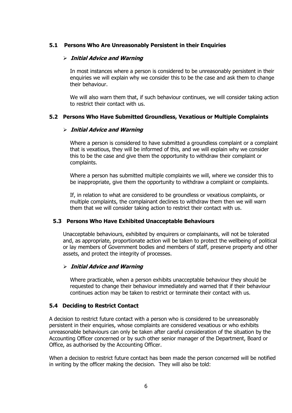#### **5.1 Persons Who Are Unreasonably Persistent in their Enquiries**

#### **Initial Advice and Warning**

In most instances where a person is considered to be unreasonably persistent in their enquiries we will explain why we consider this to be the case and ask them to change their behaviour.

We will also warn them that, if such behaviour continues, we will consider taking action to restrict their contact with us.

#### **5.2 Persons Who Have Submitted Groundless, Vexatious or Multiple Complaints**

#### **Initial Advice and Warning**

Where a person is considered to have submitted a groundless complaint or a complaint that is vexatious, they will be informed of this, and we will explain why we consider this to be the case and give them the opportunity to withdraw their complaint or complaints.

Where a person has submitted multiple complaints we will, where we consider this to be inappropriate, give them the opportunity to withdraw a complaint or complaints.

If, in relation to what are considered to be groundless or vexatious complaints, or multiple complaints, the complainant declines to withdraw them then we will warn them that we will consider taking action to restrict their contact with us.

#### **5.3 Persons Who Have Exhibited Unacceptable Behaviours**

Unacceptable behaviours, exhibited by enquirers or complainants, will not be tolerated and, as appropriate, proportionate action will be taken to protect the wellbeing of political or lay members of Government bodies and members of staff, preserve property and other assets, and protect the integrity of processes.

#### **Initial Advice and Warning**

Where practicable, when a person exhibits unacceptable behaviour they should be requested to change their behaviour immediately and warned that if their behaviour continues action may be taken to restrict or terminate their contact with us.

#### **5.4 Deciding to Restrict Contact**

A decision to restrict future contact with a person who is considered to be unreasonably persistent in their enquiries, whose complaints are considered vexatious or who exhibits unreasonable behaviours can only be taken after careful consideration of the situation by the Accounting Officer concerned or by such other senior manager of the Department, Board or Office, as authorised by the Accounting Officer.

When a decision to restrict future contact has been made the person concerned will be notified in writing by the officer making the decision. They will also be told: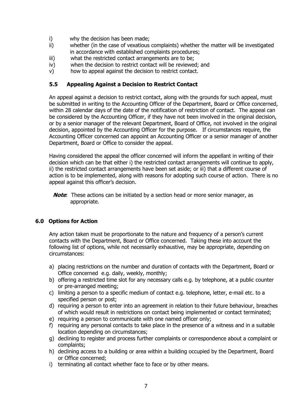- i) why the decision has been made;
- ii) whether (in the case of vexatious complaints) whether the matter will be investigated in accordance with established complaints procedures;
- iii) what the restricted contact arrangements are to be;
- iv) when the decision to restrict contact will be reviewed; and
- v) how to appeal against the decision to restrict contact.

### **5.5 Appealing Against a Decision to Restrict Contact**

An appeal against a decision to restrict contact, along with the grounds for such appeal, must be submitted in writing to the Accounting Officer of the Department, Board or Office concerned, within 28 calendar days of the date of the notification of restriction of contact. The appeal can be considered by the Accounting Officer, if they have not been involved in the original decision, or by a senior manager of the relevant Department, Board of Office, not involved in the original decision, appointed by the Accounting Officer for the purpose. If circumstances require, the Accounting Officer concerned can appoint an Accounting Officer or a senior manager of another Department, Board or Office to consider the appeal.

Having considered the appeal the officer concerned will inform the appellant in writing of their decision which can be that either i) the restricted contact arrangements will continue to apply, ii) the restricted contact arrangements have been set aside; or iii) that a different course of action is to be implemented, along with reasons for adopting such course of action. There is no appeal against this officer's decision.

**Note**: These actions can be initiated by a section head or more senior manager, as appropriate.

## **6.0 Options for Action**

Any action taken must be proportionate to the nature and frequency of a person's current contacts with the Department, Board or Office concerned. Taking these into account the following list of options, while not necessarily exhaustive, may be appropriate, depending on circumstances:

- a) placing restrictions on the number and duration of contacts with the Department, Board or Office concerned e.g. daily, weekly, monthly;
- b) offering a restricted time slot for any necessary calls e.g. by telephone, at a public counter or pre-arranged meeting;
- c) limiting a person to a specific medium of contact e.g. telephone, letter, e-mail etc. to a specified person or post;
- d) requiring a person to enter into an agreement in relation to their future behaviour, breaches of which would result in restrictions on contact being implemented or contact terminated;
- e) requiring a person to communicate with one named officer only;
- f) requiring any personal contacts to take place in the presence of a witness and in a suitable location depending on circumstances;
- g) declining to register and process further complaints or correspondence about a complaint or complaints;
- h) declining access to a building or area within a building occupied by the Department, Board or Office concerned;
- i) terminating all contact whether face to face or by other means.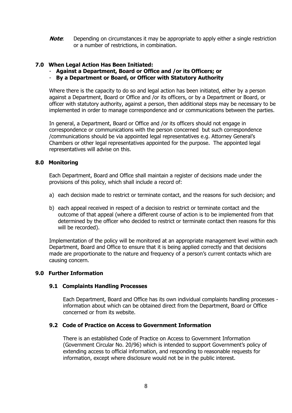**Note:** Depending on circumstances it may be appropriate to apply either a single restriction or a number of restrictions, in combination.

#### **7.0 When Legal Action Has Been Initiated:**

- **Against a Department, Board or Office and /or its Officers; or**
- **By a Department or Board, or Officer with Statutory Authority**

Where there is the capacity to do so and legal action has been initiated, either by a person against a Department, Board or Office and /or its officers, or by a Department or Board, or officer with statutory authority, against a person, then additional steps may be necessary to be implemented in order to manage correspondence and or communications between the parties.

In general, a Department, Board or Office and /or its officers should not engage in correspondence or communications with the person concerned but such correspondence /communications should be via appointed legal representatives e.g. Attorney General's Chambers or other legal representatives appointed for the purpose. The appointed legal representatives will advise on this.

#### **8.0 Monitoring**

Each Department, Board and Office shall maintain a register of decisions made under the provisions of this policy, which shall include a record of:

- a) each decision made to restrict or terminate contact, and the reasons for such decision; and
- b) each appeal received in respect of a decision to restrict or terminate contact and the outcome of that appeal (where a different course of action is to be implemented from that determined by the officer who decided to restrict or terminate contact then reasons for this will be recorded).

Implementation of the policy will be monitored at an appropriate management level within each Department, Board and Office to ensure that it is being applied correctly and that decisions made are proportionate to the nature and frequency of a person's current contacts which are causing concern.

#### **9.0 Further Information**

#### **9.1 Complaints Handling Processes**

Each Department, Board and Office has its own individual complaints handling processes information about which can be obtained direct from the Department, Board or Office concerned or from its website.

#### **9.2 Code of Practice on Access to Government Information**

There is an established Code of Practice on Access to Government Information (Government Circular No. 20/96) which is intended to support Government's policy of extending access to official information, and responding to reasonable requests for information, except where disclosure would not be in the public interest.